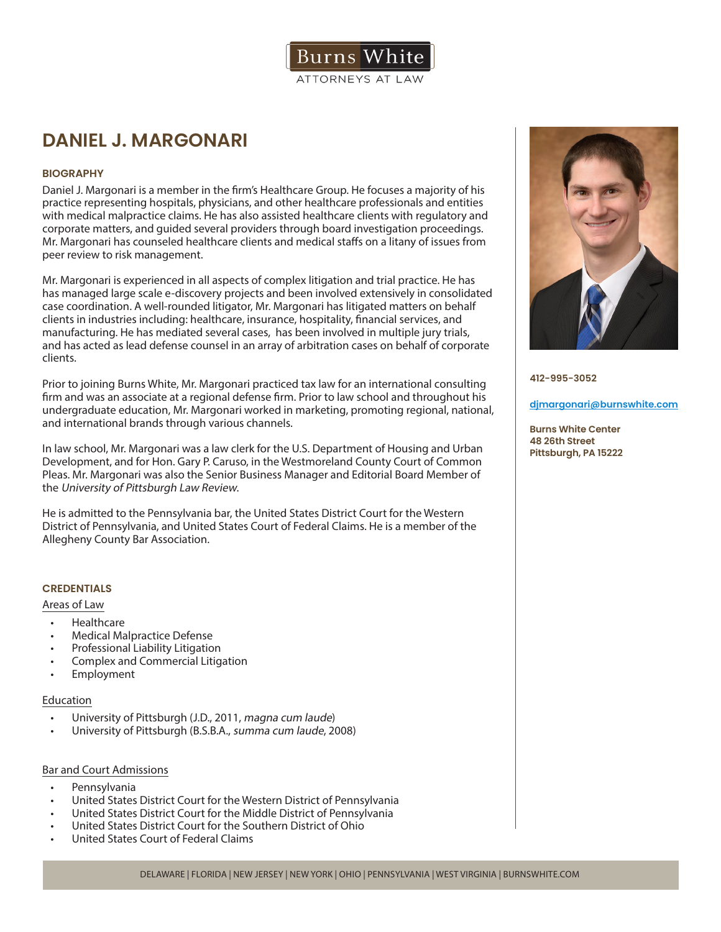

# **DANIEL J. MARGONARI**

# **BIOGRAPHY**

Daniel J. Margonari is a member in the firm's Healthcare Group. He focuses a majority of his practice representing hospitals, physicians, and other healthcare professionals and entities with medical malpractice claims. He has also assisted healthcare clients with regulatory and corporate matters, and guided several providers through board investigation proceedings. Mr. Margonari has counseled healthcare clients and medical staffs on a litany of issues from peer review to risk management.

Mr. Margonari is experienced in all aspects of complex litigation and trial practice. He has has managed large scale e-discovery projects and been involved extensively in consolidated case coordination. A well-rounded litigator, Mr. Margonari has litigated matters on behalf clients in industries including: healthcare, insurance, hospitality, financial services, and manufacturing. He has mediated several cases, has been involved in multiple jury trials, and has acted as lead defense counsel in an array of arbitration cases on behalf of corporate clients.

Prior to joining Burns White, Mr. Margonari practiced tax law for an international consulting firm and was an associate at a regional defense firm. Prior to law school and throughout his undergraduate education, Mr. Margonari worked in marketing, promoting regional, national, and international brands through various channels.

In law school, Mr. Margonari was a law clerk for the U.S. Department of Housing and Urban Development, and for Hon. Gary P. Caruso, in the Westmoreland County Court of Common Pleas. Mr. Margonari was also the Senior Business Manager and Editorial Board Member of the University of Pittsburgh Law Review.

He is admitted to the Pennsylvania bar, the United States District Court for the Western District of Pennsylvania, and United States Court of Federal Claims. He is a member of the Allegheny County Bar Association.

# **CREDENTIALS**

### Areas of Law

- Healthcare
- Medical Malpractice Defense
- Professional Liability Litigation
- Complex and Commercial Litigation
- **Employment**

#### Education

- University of Pittsburgh (J.D., 2011, magna cum laude)
- University of Pittsburgh (B.S.B.A., summa cum laude, 2008)

# Bar and Court Admissions

- Pennsylvania
- United States District Court for the Western District of Pennsylvania
- United States District Court for the Middle District of Pennsylvania
- United States District Court for the Southern District of Ohio
- United States Court of Federal Claims



**412-995-3052**

#### **djmargonari@burnswhite.com**

**Burns White Center 48 26th Street Pittsburgh, PA 15222**